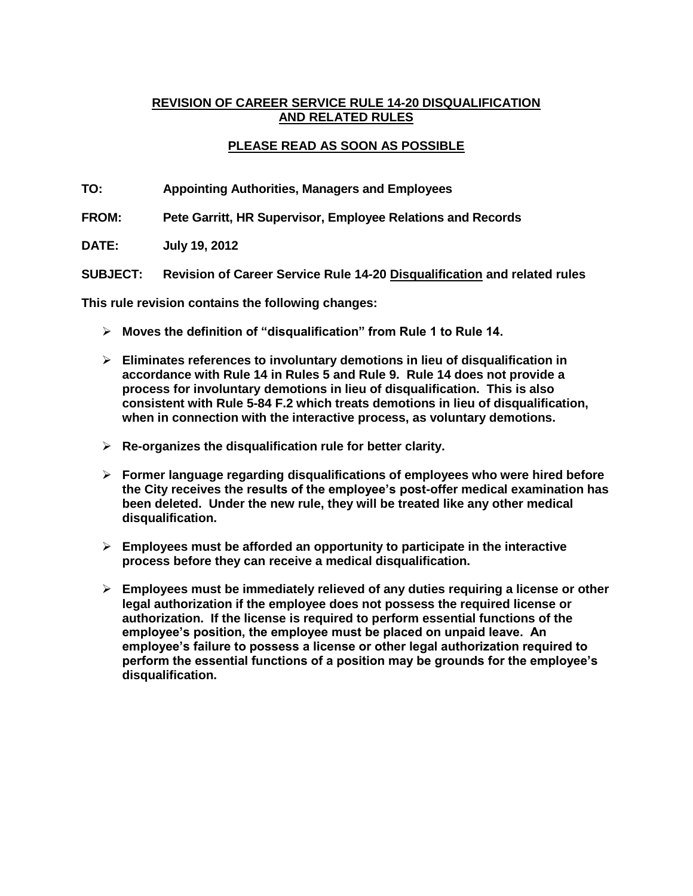# **REVISION OF CAREER SERVICE RULE 14-20 DISQUALIFICATION AND RELATED RULES**

# **PLEASE READ AS SOON AS POSSIBLE**

**TO: Appointing Authorities, Managers and Employees**

**FROM: Pete Garritt, HR Supervisor, Employee Relations and Records**

**DATE: July 19, 2012**

**SUBJECT: Revision of Career Service Rule 14-20 Disqualification and related rules**

**This rule revision contains the following changes:**

- **Moves the definition of "disqualification" from Rule 1 to Rule 14.**
- **Eliminates references to involuntary demotions in lieu of disqualification in accordance with Rule 14 in Rules 5 and Rule 9. Rule 14 does not provide a process for involuntary demotions in lieu of disqualification. This is also consistent with Rule 5-84 F.2 which treats demotions in lieu of disqualification, when in connection with the interactive process, as voluntary demotions.**
- **Re-organizes the disqualification rule for better clarity.**
- **Former language regarding disqualifications of employees who were hired before the City receives the results of the employee's post-offer medical examination has been deleted. Under the new rule, they will be treated like any other medical disqualification.**
- **Employees must be afforded an opportunity to participate in the interactive process before they can receive a medical disqualification.**
- **Employees must be immediately relieved of any duties requiring a license or other legal authorization if the employee does not possess the required license or authorization. If the license is required to perform essential functions of the employee's position, the employee must be placed on unpaid leave. An employee's failure to possess a license or other legal authorization required to perform the essential functions of a position may be grounds for the employee's disqualification.**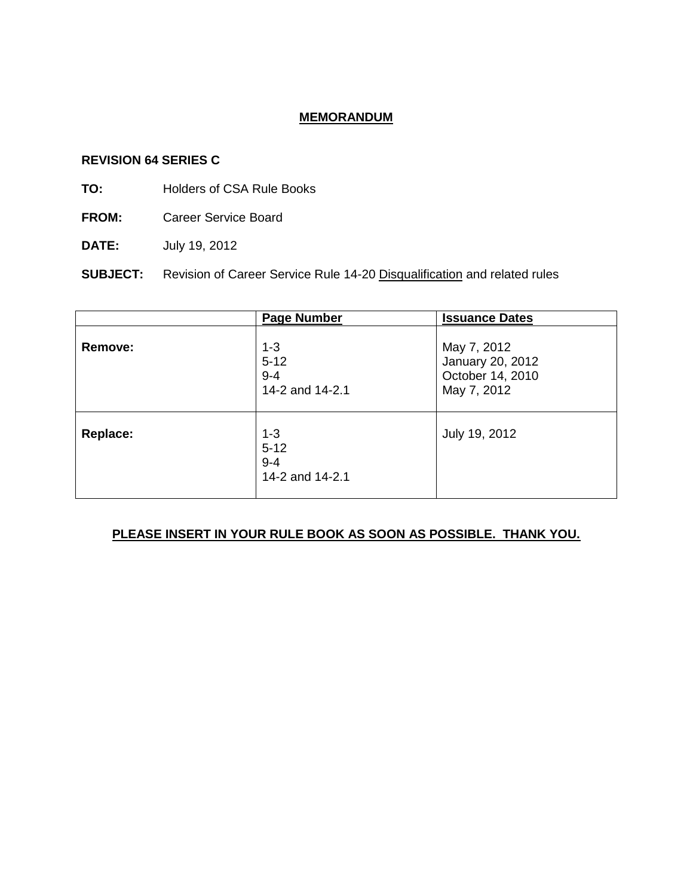# **MEMORANDUM**

#### **REVISION 64 SERIES C**

- **TO:** Holders of CSA Rule Books
- **FROM:** Career Service Board
- **DATE:** July 19, 2012

**SUBJECT:** Revision of Career Service Rule 14-20 Disqualification and related rules

|                | <b>Page Number</b>                                | <b>Issuance Dates</b>                                              |
|----------------|---------------------------------------------------|--------------------------------------------------------------------|
| <b>Remove:</b> | $1 - 3$<br>$5 - 12$<br>$9 - 4$<br>14-2 and 14-2.1 | May 7, 2012<br>January 20, 2012<br>October 14, 2010<br>May 7, 2012 |
| Replace:       | $1 - 3$<br>$5 - 12$<br>$9 - 4$<br>14-2 and 14-2.1 | July 19, 2012                                                      |

# **PLEASE INSERT IN YOUR RULE BOOK AS SOON AS POSSIBLE. THANK YOU.**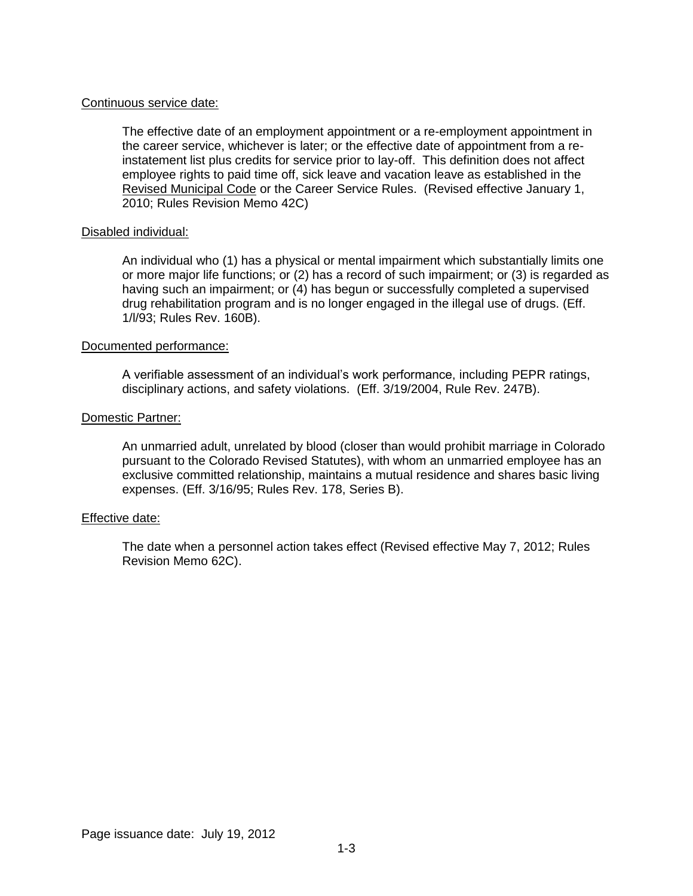#### Continuous service date:

The effective date of an employment appointment or a re-employment appointment in the career service, whichever is later; or the effective date of appointment from a reinstatement list plus credits for service prior to lay-off. This definition does not affect employee rights to paid time off, sick leave and vacation leave as established in the Revised Municipal Code or the Career Service Rules. (Revised effective January 1, 2010; Rules Revision Memo 42C)

#### Disabled individual:

An individual who (1) has a physical or mental impairment which substantially limits one or more major life functions; or (2) has a record of such impairment; or (3) is regarded as having such an impairment; or (4) has begun or successfully completed a supervised drug rehabilitation program and is no longer engaged in the illegal use of drugs. (Eff. 1/l/93; Rules Rev. 160B).

#### Documented performance:

A verifiable assessment of an individual's work performance, including PEPR ratings, disciplinary actions, and safety violations. (Eff. 3/19/2004, Rule Rev. 247B).

#### Domestic Partner:

An unmarried adult, unrelated by blood (closer than would prohibit marriage in Colorado pursuant to the Colorado Revised Statutes), with whom an unmarried employee has an exclusive committed relationship, maintains a mutual residence and shares basic living expenses. (Eff. 3/16/95; Rules Rev. 178, Series B).

#### Effective date:

The date when a personnel action takes effect (Revised effective May 7, 2012; Rules Revision Memo 62C).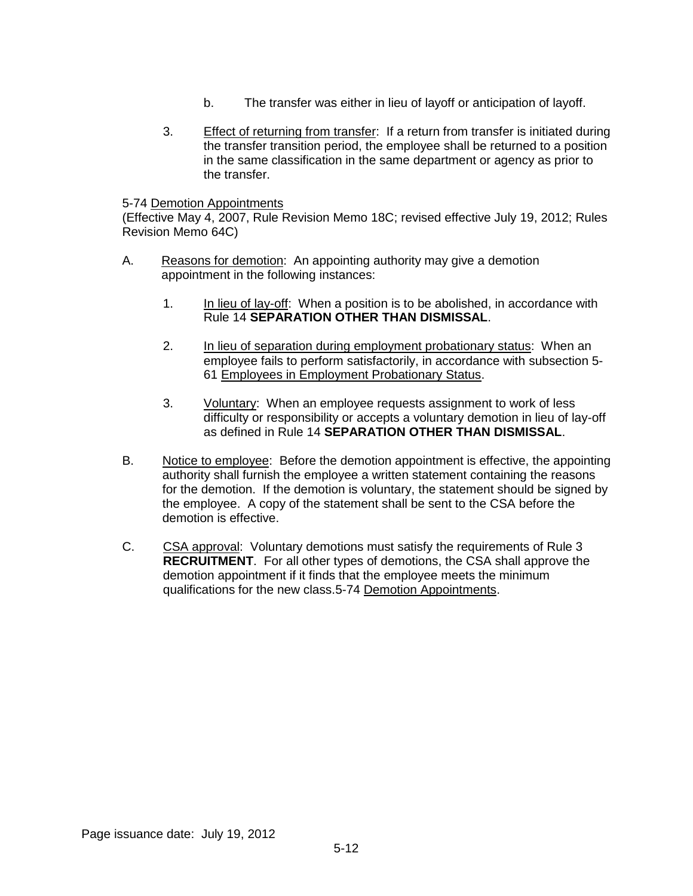- b. The transfer was either in lieu of layoff or anticipation of layoff.
- 3. Effect of returning from transfer: If a return from transfer is initiated during the transfer transition period, the employee shall be returned to a position in the same classification in the same department or agency as prior to the transfer.

#### 5-74 Demotion Appointments

(Effective May 4, 2007, Rule Revision Memo 18C; revised effective July 19, 2012; Rules Revision Memo 64C)

- A. Reasons for demotion: An appointing authority may give a demotion appointment in the following instances:
	- 1. In lieu of lay-off: When a position is to be abolished, in accordance with Rule 14 **SEPARATION OTHER THAN DISMISSAL**.
	- 2. In lieu of separation during employment probationary status: When an employee fails to perform satisfactorily, in accordance with subsection 5- 61 Employees in Employment Probationary Status.
	- 3. Voluntary: When an employee requests assignment to work of less difficulty or responsibility or accepts a voluntary demotion in lieu of lay-off as defined in Rule 14 **SEPARATION OTHER THAN DISMISSAL**.
- B. Notice to employee: Before the demotion appointment is effective, the appointing authority shall furnish the employee a written statement containing the reasons for the demotion. If the demotion is voluntary, the statement should be signed by the employee. A copy of the statement shall be sent to the CSA before the demotion is effective.
- C. CSA approval: Voluntary demotions must satisfy the requirements of Rule 3 **RECRUITMENT**. For all other types of demotions, the CSA shall approve the demotion appointment if it finds that the employee meets the minimum qualifications for the new class.5-74 Demotion Appointments.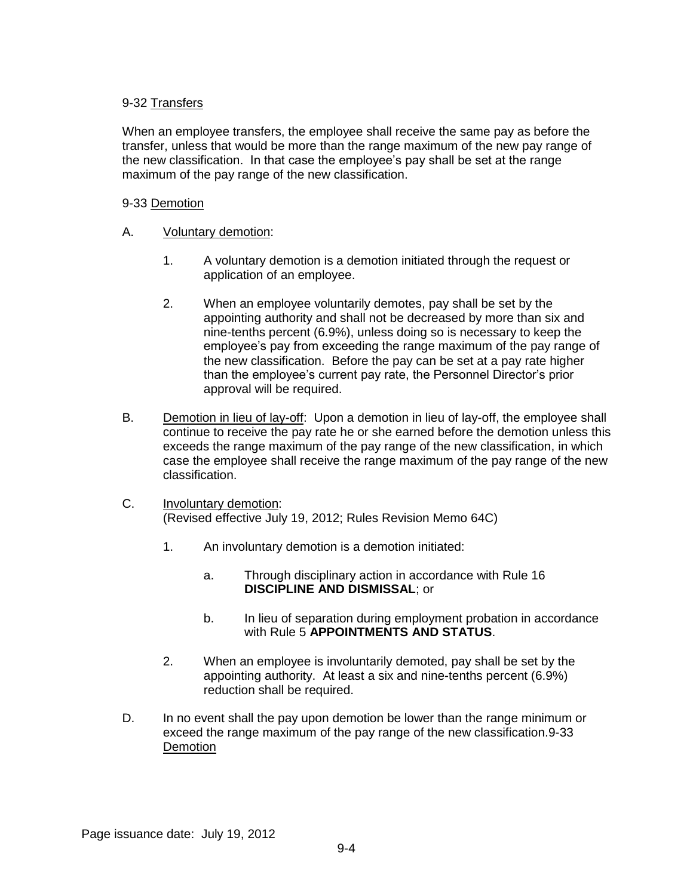## 9-32 Transfers

When an employee transfers, the employee shall receive the same pay as before the transfer, unless that would be more than the range maximum of the new pay range of the new classification. In that case the employee's pay shall be set at the range maximum of the pay range of the new classification.

## 9-33 Demotion

- A. Voluntary demotion:
	- 1. A voluntary demotion is a demotion initiated through the request or application of an employee.
	- 2. When an employee voluntarily demotes, pay shall be set by the appointing authority and shall not be decreased by more than six and nine-tenths percent (6.9%), unless doing so is necessary to keep the employee's pay from exceeding the range maximum of the pay range of the new classification. Before the pay can be set at a pay rate higher than the employee's current pay rate, the Personnel Director's prior approval will be required.
- B. Demotion in lieu of lay-off: Upon a demotion in lieu of lay-off, the employee shall continue to receive the pay rate he or she earned before the demotion unless this exceeds the range maximum of the pay range of the new classification, in which case the employee shall receive the range maximum of the pay range of the new classification.
- C. Involuntary demotion: (Revised effective July 19, 2012; Rules Revision Memo 64C)
	- 1. An involuntary demotion is a demotion initiated:
		- a. Through disciplinary action in accordance with Rule 16 **DISCIPLINE AND DISMISSAL**; or
		- b. In lieu of separation during employment probation in accordance with Rule 5 **APPOINTMENTS AND STATUS**.
	- 2. When an employee is involuntarily demoted, pay shall be set by the appointing authority. At least a six and nine-tenths percent (6.9%) reduction shall be required.
- D. In no event shall the pay upon demotion be lower than the range minimum or exceed the range maximum of the pay range of the new classification.9-33 **Demotion**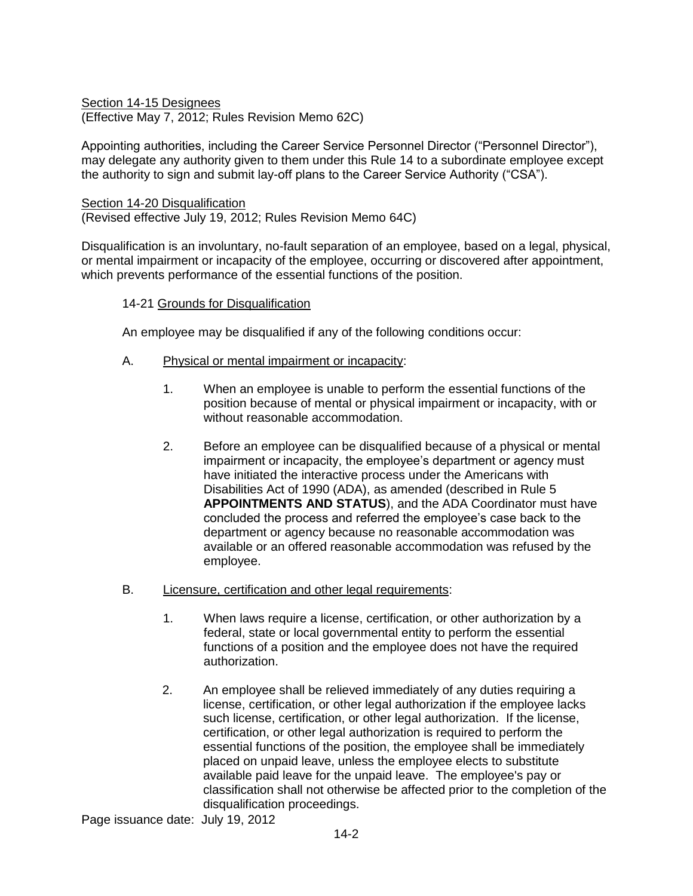Section 14-15 Designees (Effective May 7, 2012; Rules Revision Memo 62C)

Appointing authorities, including the Career Service Personnel Director ("Personnel Director"), may delegate any authority given to them under this Rule 14 to a subordinate employee except the authority to sign and submit lay-off plans to the Career Service Authority ("CSA").

#### Section 14-20 Disqualification

(Revised effective July 19, 2012; Rules Revision Memo 64C)

Disqualification is an involuntary, no-fault separation of an employee, based on a legal, physical, or mental impairment or incapacity of the employee, occurring or discovered after appointment, which prevents performance of the essential functions of the position.

## 14-21 Grounds for Disqualification

An employee may be disqualified if any of the following conditions occur:

## A. Physical or mental impairment or incapacity:

- 1. When an employee is unable to perform the essential functions of the position because of mental or physical impairment or incapacity, with or without reasonable accommodation.
- 2. Before an employee can be disqualified because of a physical or mental impairment or incapacity, the employee's department or agency must have initiated the interactive process under the Americans with Disabilities Act of 1990 (ADA), as amended (described in Rule 5 **APPOINTMENTS AND STATUS**), and the ADA Coordinator must have concluded the process and referred the employee's case back to the department or agency because no reasonable accommodation was available or an offered reasonable accommodation was refused by the employee.

#### B. Licensure, certification and other legal requirements:

- 1. When laws require a license, certification, or other authorization by a federal, state or local governmental entity to perform the essential functions of a position and the employee does not have the required authorization.
- 2. An employee shall be relieved immediately of any duties requiring a license, certification, or other legal authorization if the employee lacks such license, certification, or other legal authorization. If the license, certification, or other legal authorization is required to perform the essential functions of the position, the employee shall be immediately placed on unpaid leave, unless the employee elects to substitute available paid leave for the unpaid leave. The employee's pay or classification shall not otherwise be affected prior to the completion of the disqualification proceedings.

Page issuance date: July 19, 2012